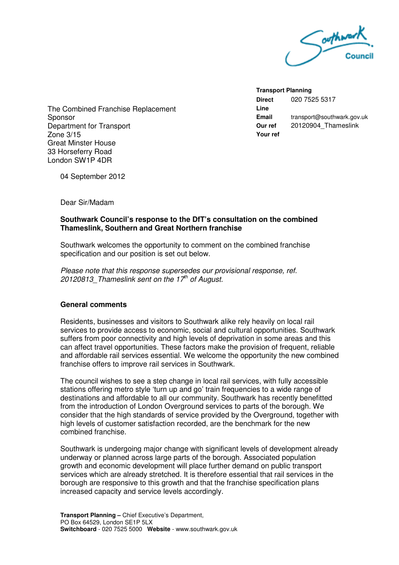

**Transport Planning Direct Line**  020 7525 5317 **Email** transport@southwark.gov.uk **Our ref** 20120904\_Thameslink **Your ref** 

The Combined Franchise Replacement **Sponsor** Department for Transport Zone 3/15 Great Minster House 33 Horseferry Road London SW1P 4DR

04 September 2012

Dear Sir/Madam

# **Southwark Council's response to the DfT's consultation on the combined Thameslink, Southern and Great Northern franchise**

Southwark welcomes the opportunity to comment on the combined franchise specification and our position is set out below.

Please note that this response supersedes our provisional response, ref. 20120813 Thameslink sent on the 17<sup>th</sup> of August.

# **General comments**

Residents, businesses and visitors to Southwark alike rely heavily on local rail services to provide access to economic, social and cultural opportunities. Southwark suffers from poor connectivity and high levels of deprivation in some areas and this can affect travel opportunities. These factors make the provision of frequent, reliable and affordable rail services essential. We welcome the opportunity the new combined franchise offers to improve rail services in Southwark.

The council wishes to see a step change in local rail services, with fully accessible stations offering metro style 'turn up and go' train frequencies to a wide range of destinations and affordable to all our community. Southwark has recently benefitted from the introduction of London Overground services to parts of the borough. We consider that the high standards of service provided by the Overground, together with high levels of customer satisfaction recorded, are the benchmark for the new combined franchise.

Southwark is undergoing major change with significant levels of development already underway or planned across large parts of the borough. Associated population growth and economic development will place further demand on public transport services which are already stretched. It is therefore essential that rail services in the borough are responsive to this growth and that the franchise specification plans increased capacity and service levels accordingly.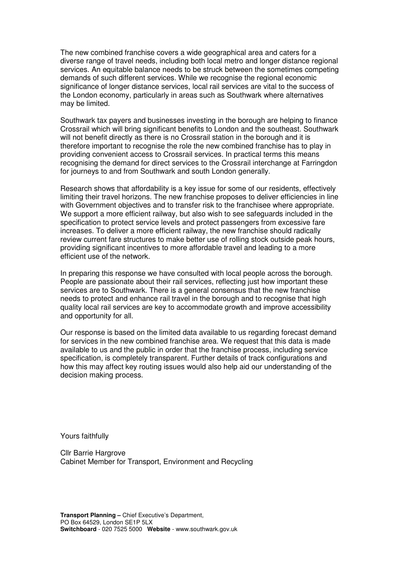The new combined franchise covers a wide geographical area and caters for a diverse range of travel needs, including both local metro and longer distance regional services. An equitable balance needs to be struck between the sometimes competing demands of such different services. While we recognise the regional economic significance of longer distance services, local rail services are vital to the success of the London economy, particularly in areas such as Southwark where alternatives may be limited.

Southwark tax payers and businesses investing in the borough are helping to finance Crossrail which will bring significant benefits to London and the southeast. Southwark will not benefit directly as there is no Crossrail station in the borough and it is therefore important to recognise the role the new combined franchise has to play in providing convenient access to Crossrail services. In practical terms this means recognising the demand for direct services to the Crossrail interchange at Farringdon for journeys to and from Southwark and south London generally.

Research shows that affordability is a key issue for some of our residents, effectively limiting their travel horizons. The new franchise proposes to deliver efficiencies in line with Government objectives and to transfer risk to the franchisee where appropriate. We support a more efficient railway, but also wish to see safeguards included in the specification to protect service levels and protect passengers from excessive fare increases. To deliver a more efficient railway, the new franchise should radically review current fare structures to make better use of rolling stock outside peak hours, providing significant incentives to more affordable travel and leading to a more efficient use of the network.

In preparing this response we have consulted with local people across the borough. People are passionate about their rail services, reflecting just how important these services are to Southwark. There is a general consensus that the new franchise needs to protect and enhance rail travel in the borough and to recognise that high quality local rail services are key to accommodate growth and improve accessibility and opportunity for all.

Our response is based on the limited data available to us regarding forecast demand for services in the new combined franchise area. We request that this data is made available to us and the public in order that the franchise process, including service specification, is completely transparent. Further details of track configurations and how this may affect key routing issues would also help aid our understanding of the decision making process.

Yours faithfully

Cllr Barrie Hargrove Cabinet Member for Transport, Environment and Recycling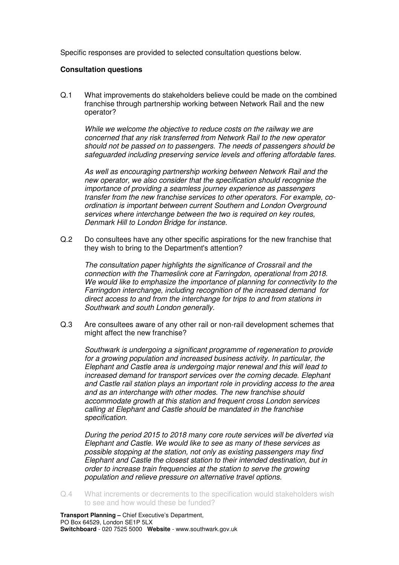Specific responses are provided to selected consultation questions below.

## **Consultation questions**

Q.1 What improvements do stakeholders believe could be made on the combined franchise through partnership working between Network Rail and the new operator?

While we welcome the objective to reduce costs on the railway we are concerned that any risk transferred from Network Rail to the new operator should not be passed on to passengers. The needs of passengers should be safeguarded including preserving service levels and offering affordable fares.

As well as encouraging partnership working between Network Rail and the new operator, we also consider that the specification should recognise the importance of providing a seamless journey experience as passengers transfer from the new franchise services to other operators. For example, coordination is important between current Southern and London Overground services where interchange between the two is required on key routes, Denmark Hill to London Bridge for instance.

Q.2 Do consultees have any other specific aspirations for the new franchise that they wish to bring to the Department's attention?

The consultation paper highlights the significance of Crossrail and the connection with the Thameslink core at Farringdon, operational from 2018. We would like to emphasize the importance of planning for connectivity to the Farringdon interchange, including recognition of the increased demand for direct access to and from the interchange for trips to and from stations in Southwark and south London generally.

Q.3 Are consultees aware of any other rail or non-rail development schemes that might affect the new franchise?

Southwark is undergoing a significant programme of regeneration to provide for a growing population and increased business activity. In particular, the Elephant and Castle area is undergoing major renewal and this will lead to increased demand for transport services over the coming decade. Elephant and Castle rail station plays an important role in providing access to the area and as an interchange with other modes. The new franchise should accommodate growth at this station and frequent cross London services calling at Elephant and Castle should be mandated in the franchise specification.

 During the period 2015 to 2018 many core route services will be diverted via Elephant and Castle. We would like to see as many of these services as possible stopping at the station, not only as existing passengers may find Elephant and Castle the closest station to their intended destination, but in order to increase train frequencies at the station to serve the growing population and relieve pressure on alternative travel options.

Q.4 What increments or decrements to the specification would stakeholders wish to see and how would these be funded?

**Transport Planning –** Chief Executive's Department, PO Box 64529, London SE1P 5LX **Switchboard** - 020 7525 5000 **Website** - www.southwark.gov.uk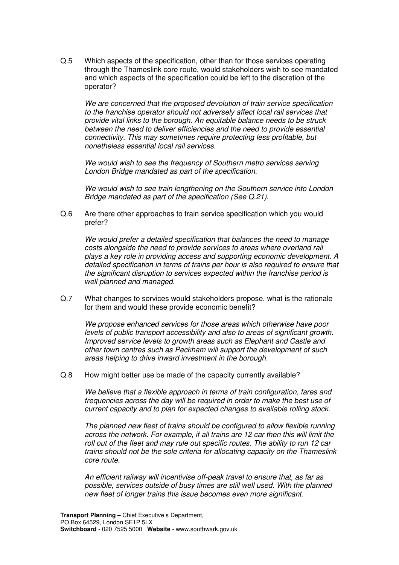Q.5 Which aspects of the specification, other than for those services operating through the Thameslink core route, would stakeholders wish to see mandated and which aspects of the specification could be left to the discretion of the operator?

We are concerned that the proposed devolution of train service specification to the franchise operator should not adversely affect local rail services that provide vital links to the borough. An equitable balance needs to be struck between the need to deliver efficiencies and the need to provide essential connectivity. This may sometimes require protecting less profitable, but nonetheless essential local rail services.

We would wish to see the frequency of Southern metro services serving London Bridge mandated as part of the specification.

 We would wish to see train lengthening on the Southern service into London Bridge mandated as part of the specification (See Q.21).

Q.6 Are there other approaches to train service specification which you would prefer?

We would prefer a detailed specification that balances the need to manage costs alongside the need to provide services to areas where overland rail plays a key role in providing access and supporting economic development. A detailed specification in terms of trains per hour is also required to ensure that the significant disruption to services expected within the franchise period is well planned and managed.

Q.7 What changes to services would stakeholders propose, what is the rationale for them and would these provide economic benefit?

We propose enhanced services for those areas which otherwise have poor levels of public transport accessibility and also to areas of significant growth. Improved service levels to growth areas such as Elephant and Castle and other town centres such as Peckham will support the development of such areas helping to drive inward investment in the borough.

Q.8 How might better use be made of the capacity currently available?

We believe that a flexible approach in terms of train configuration, fares and frequencies across the day will be required in order to make the best use of current capacity and to plan for expected changes to available rolling stock.

The planned new fleet of trains should be configured to allow flexible running across the network. For example, if all trains are 12 car then this will limit the roll out of the fleet and may rule out specific routes. The ability to run 12 car trains should not be the sole criteria for allocating capacity on the Thameslink core route.

An efficient railway will incentivise off-peak travel to ensure that, as far as possible, services outside of busy times are still well used. With the planned new fleet of longer trains this issue becomes even more significant.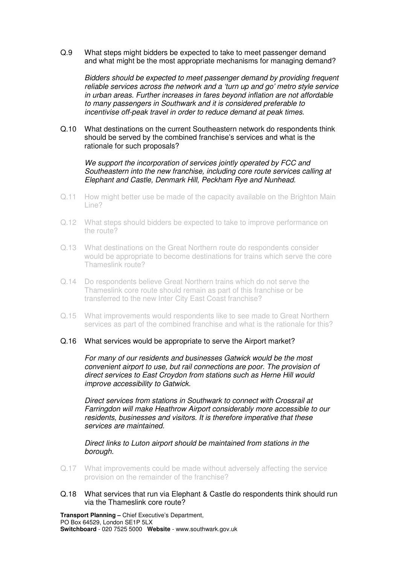Q.9 What steps might bidders be expected to take to meet passenger demand and what might be the most appropriate mechanisms for managing demand?

Bidders should be expected to meet passenger demand by providing frequent reliable services across the network and a 'turn up and go' metro style service in urban areas. Further increases in fares beyond inflation are not affordable to many passengers in Southwark and it is considered preferable to incentivise off-peak travel in order to reduce demand at peak times.

Q.10 What destinations on the current Southeastern network do respondents think should be served by the combined franchise's services and what is the rationale for such proposals?

We support the incorporation of services jointly operated by FCC and Southeastern into the new franchise, including core route services calling at Elephant and Castle, Denmark Hill, Peckham Rye and Nunhead.

- Q.11 How might better use be made of the capacity available on the Brighton Main Line?
- Q.12 What steps should bidders be expected to take to improve performance on the route?
- Q.13 What destinations on the Great Northern route do respondents consider would be appropriate to become destinations for trains which serve the core Thameslink route?
- Q.14 Do respondents believe Great Northern trains which do not serve the Thameslink core route should remain as part of this franchise or be transferred to the new Inter City East Coast franchise?
- Q.15 What improvements would respondents like to see made to Great Northern services as part of the combined franchise and what is the rationale for this?

#### Q.16 What services would be appropriate to serve the Airport market?

For many of our residents and businesses Gatwick would be the most convenient airport to use, but rail connections are poor. The provision of direct services to East Croydon from stations such as Herne Hill would improve accessibility to Gatwick.

Direct services from stations in Southwark to connect with Crossrail at Farringdon will make Heathrow Airport considerably more accessible to our residents, businesses and visitors. It is therefore imperative that these services are maintained.

Direct links to Luton airport should be maintained from stations in the borough.

- Q.17 What improvements could be made without adversely affecting the service provision on the remainder of the franchise?
- Q.18 What services that run via Elephant & Castle do respondents think should run via the Thameslink core route?

**Transport Planning –** Chief Executive's Department, PO Box 64529, London SE1P 5LX **Switchboard** - 020 7525 5000 **Website** - www.southwark.gov.uk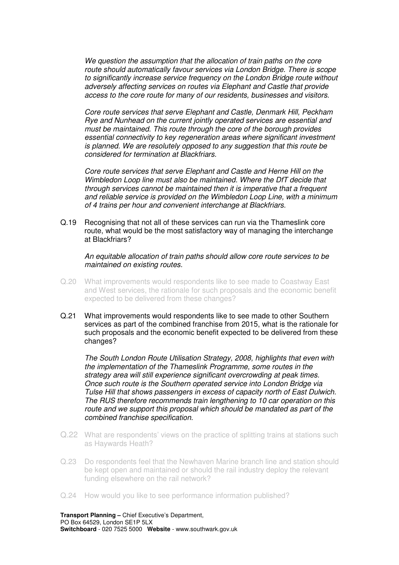We question the assumption that the allocation of train paths on the core route should automatically favour services via London Bridge. There is scope to significantly increase service frequency on the London Bridge route without adversely affecting services on routes via Elephant and Castle that provide access to the core route for many of our residents, businesses and visitors.

Core route services that serve Elephant and Castle, Denmark Hill, Peckham Rye and Nunhead on the current jointly operated services are essential and must be maintained. This route through the core of the borough provides essential connectivity to key regeneration areas where significant investment is planned. We are resolutely opposed to any suggestion that this route be considered for termination at Blackfriars.

Core route services that serve Elephant and Castle and Herne Hill on the Wimbledon Loop line must also be maintained. Where the DfT decide that through services cannot be maintained then it is imperative that a frequent and reliable service is provided on the Wimbledon Loop Line, with a minimum of 4 trains per hour and convenient interchange at Blackfriars.

Q.19 Recognising that not all of these services can run via the Thameslink core route, what would be the most satisfactory way of managing the interchange at Blackfriars?

An equitable allocation of train paths should allow core route services to be maintained on existing routes.

- Q.20 What improvements would respondents like to see made to Coastway East and West services, the rationale for such proposals and the economic benefit expected to be delivered from these changes?
- Q.21 What improvements would respondents like to see made to other Southern services as part of the combined franchise from 2015, what is the rationale for such proposals and the economic benefit expected to be delivered from these changes?

The South London Route Utilisation Strategy, 2008, highlights that even with the implementation of the Thameslink Programme, some routes in the strategy area will still experience significant overcrowding at peak times. Once such route is the Southern operated service into London Bridge via Tulse Hill that shows passengers in excess of capacity north of East Dulwich. The RUS therefore recommends train lengthening to 10 car operation on this route and we support this proposal which should be mandated as part of the combined franchise specification.

- Q.22 What are respondents' views on the practice of splitting trains at stations such as Haywards Heath?
- Q.23 Do respondents feel that the Newhaven Marine branch line and station should be kept open and maintained or should the rail industry deploy the relevant funding elsewhere on the rail network?
- Q.24 How would you like to see performance information published?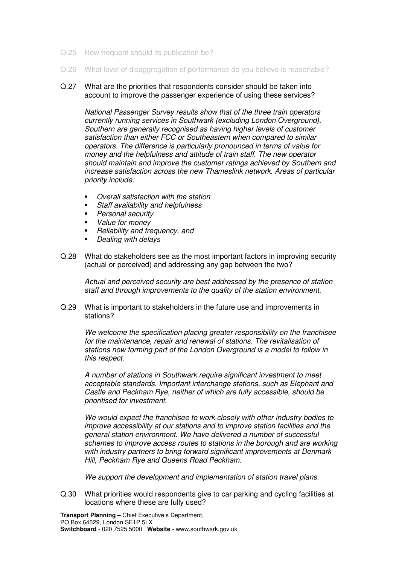- Q.25 How frequent should its publication be?
- Q.26 What level of disaggregation of performance do you believe is reasonable?
- Q.27 What are the priorities that respondents consider should be taken into account to improve the passenger experience of using these services?

National Passenger Survey results show that of the three train operators currently running services in Southwark (excluding London Overground), Southern are generally recognised as having higher levels of customer satisfaction than either FCC or Southeastern when compared to similar operators. The difference is particularly pronounced in terms of value for money and the helpfulness and attitude of train staff. The new operator should maintain and improve the customer ratings achieved by Southern and increase satisfaction across the new Thameslink network. Areas of particular priority include:

- Overall satisfaction with the station
- Staff availability and helpfulness
- Personal security
- Value for money
- Reliability and frequency, and
- Dealing with delays
- Q.28 What do stakeholders see as the most important factors in improving security (actual or perceived) and addressing any gap between the two?

Actual and perceived security are best addressed by the presence of station staff and through improvements to the quality of the station environment.

Q.29 What is important to stakeholders in the future use and improvements in stations?

We welcome the specification placing greater responsibility on the franchisee for the maintenance, repair and renewal of stations. The revitalisation of stations now forming part of the London Overground is a model to follow in this respect.

A number of stations in Southwark require significant investment to meet acceptable standards. Important interchange stations, such as Elephant and Castle and Peckham Rye, neither of which are fully accessible, should be prioritised for investment.

We would expect the franchisee to work closely with other industry bodies to improve accessibility at our stations and to improve station facilities and the general station environment. We have delivered a number of successful schemes to improve access routes to stations in the borough and are working with industry partners to bring forward significant improvements at Denmark Hill, Peckham Rye and Queens Road Peckham.

We support the development and implementation of station travel plans.

Q.30 What priorities would respondents give to car parking and cycling facilities at locations where these are fully used?

**Transport Planning –** Chief Executive's Department, PO Box 64529, London SE1P 5LX **Switchboard** - 020 7525 5000 **Website** - www.southwark.gov.uk